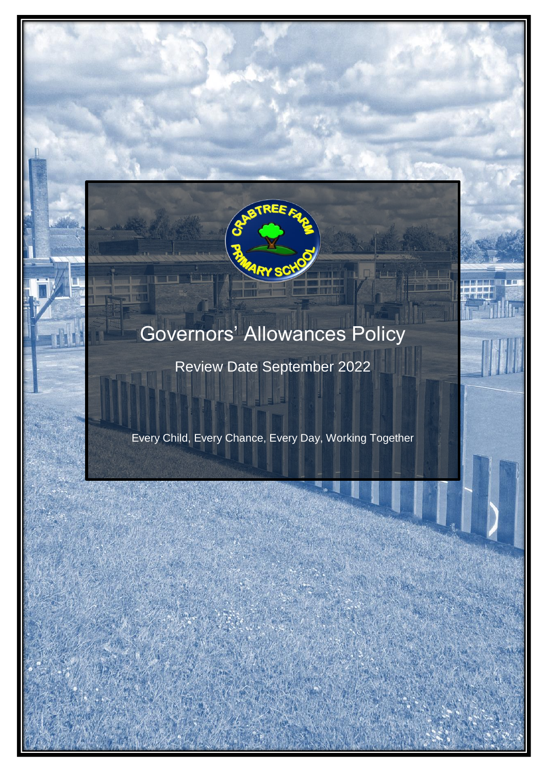

# Governors' Allowances Policy

Review Date September 2022

Every Child, Every Chance, Every Day, Working Together

GOVERNO GOVERNO SINGLES EVERY CHILD, EVERY CHANCE, EVERY DAY, WORKING TOGETHER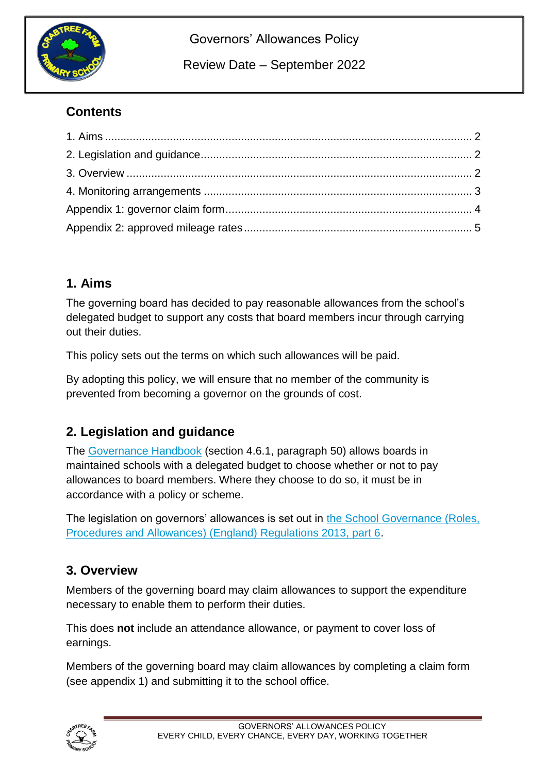

Governors' Allowances Policy

Review Date – September 2022

### **Contents**

#### **1. Aims**

The governing board has decided to pay reasonable allowances from the school's delegated budget to support any costs that board members incur through carrying out their duties.

This policy sets out the terms on which such allowances will be paid.

By adopting this policy, we will ensure that no member of the community is prevented from becoming a governor on the grounds of cost.

#### **2. Legislation and guidance**

The [Governance Handbook](https://www.gov.uk/government/uploads/system/uploads/attachment_data/file/582868/Governance_Handbook_-_January_2017.pdf) (section 4.6.1, paragraph 50) allows boards in maintained schools with a delegated budget to choose whether or not to pay allowances to board members. Where they choose to do so, it must be in accordance with a policy or scheme.

The legislation on governors' allowances is set out in [the School Governance \(Roles,](http://www.legislation.gov.uk/uksi/2013/1624/part/6/made)  [Procedures and Allowances\) \(England\) Regulations 2013, part 6.](http://www.legislation.gov.uk/uksi/2013/1624/part/6/made)

#### **3. Overview**

Members of the governing board may claim allowances to support the expenditure necessary to enable them to perform their duties.

This does **not** include an attendance allowance, or payment to cover loss of earnings.

Members of the governing board may claim allowances by completing a claim form (see appendix 1) and submitting it to the school office.

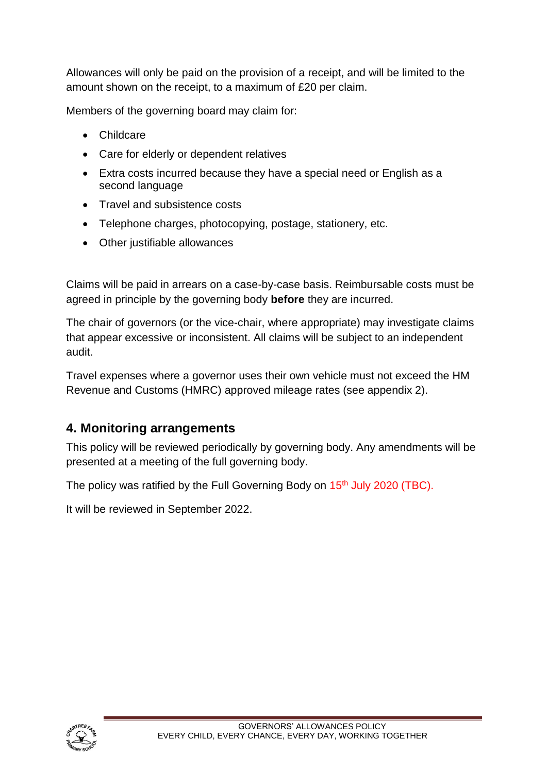Allowances will only be paid on the provision of a receipt, and will be limited to the amount shown on the receipt, to a maximum of £20 per claim.

Members of the governing board may claim for:

- Childcare
- Care for elderly or dependent relatives
- Extra costs incurred because they have a special need or English as a second language
- Travel and subsistence costs
- Telephone charges, photocopying, postage, stationery, etc.
- Other justifiable allowances

Claims will be paid in arrears on a case-by-case basis. Reimbursable costs must be agreed in principle by the governing body **before** they are incurred.

The chair of governors (or the vice-chair, where appropriate) may investigate claims that appear excessive or inconsistent. All claims will be subject to an independent audit.

Travel expenses where a governor uses their own vehicle must not exceed the HM Revenue and Customs (HMRC) approved mileage rates (see appendix 2).

#### **4. Monitoring arrangements**

This policy will be reviewed periodically by governing body. Any amendments will be presented at a meeting of the full governing body.

The policy was ratified by the Full Governing Body on 15<sup>th</sup> July 2020 (TBC).

It will be reviewed in September 2022.

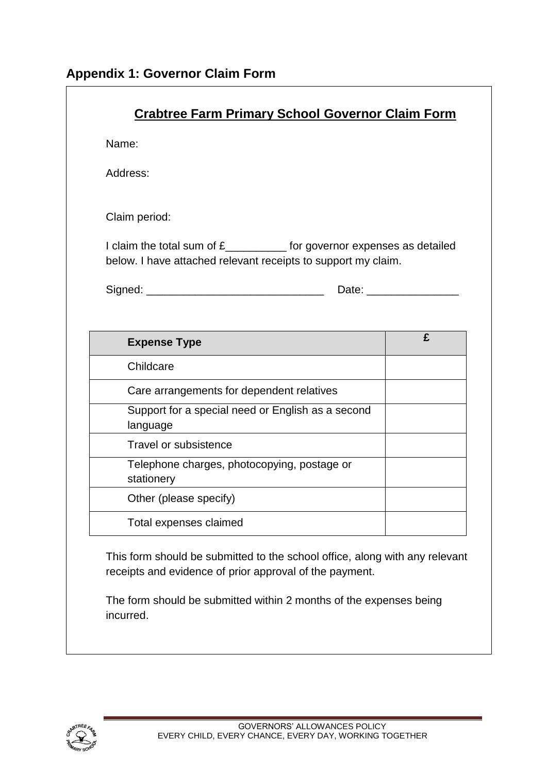| Name:                                                                                                                                    |                     |
|------------------------------------------------------------------------------------------------------------------------------------------|---------------------|
| Address:                                                                                                                                 |                     |
| Claim period:                                                                                                                            |                     |
| I claim the total sum of £___________ for governor expenses as detailed<br>below. I have attached relevant receipts to support my claim. |                     |
|                                                                                                                                          | Date: _____________ |
| <b>Expense Type</b>                                                                                                                      | £                   |
| Childcare                                                                                                                                |                     |
| Care arrangements for dependent relatives                                                                                                |                     |
| Support for a special need or English as a second<br>language                                                                            |                     |
|                                                                                                                                          |                     |
| <b>Travel or subsistence</b>                                                                                                             |                     |
| Telephone charges, photocopying, postage or<br>stationery                                                                                |                     |
| Other (please specify)                                                                                                                   |                     |

The form should be submitted within 2 months of the expenses being incurred.